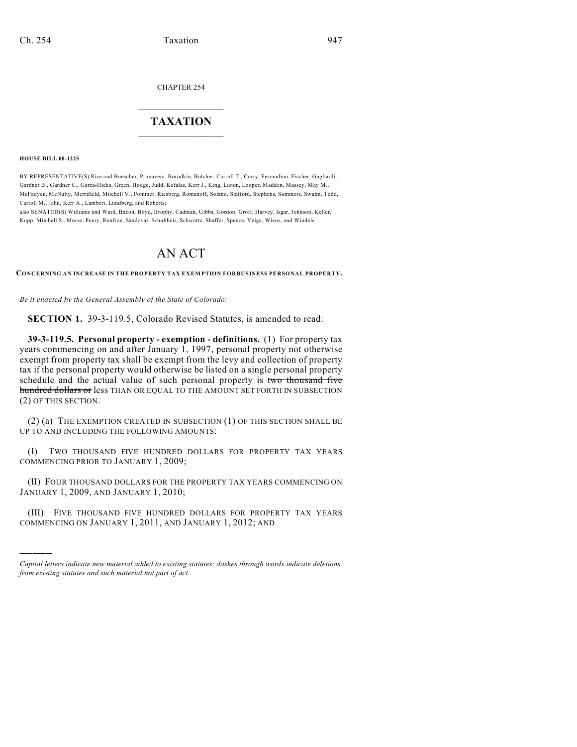CHAPTER 254

## $\overline{\phantom{a}}$  . The set of the set of the set of the set of the set of the set of the set of the set of the set of the set of the set of the set of the set of the set of the set of the set of the set of the set of the set o **TAXATION**  $\_$

**HOUSE BILL 08-1225**

)))))

BY REPRESENTATIVE(S) Rice and Buescher, Primavera, Borodkin, Butcher, Carroll T., Curry, Ferrandino, Fischer, Gagliardi, Gardner B., Gardner C., Garza-Hicks, Green, Hodge, Judd, Kefalas, Kerr J., King, Liston, Looper, Madden, Massey, May M., McFadyen, McNulty, Merrifield, Mitchell V., Pommer, Riesberg, Romanoff, Solano, Stafford, Stephens, Summers, Swalm, Todd, Carroll M., Jahn, Kerr A., Lambert, Lundberg, and Roberts;

also SENATOR(S) Williams and Ward, Bacon, Boyd, Brophy, Cadman, Gibbs, Gordon, Groff, Harvey, Isgar, Johnson, Keller, Kopp, Mitchell S., Morse, Penry, Renfroe, Sandoval, Schultheis, Schwartz, Shaffer, Spence, Veiga, Wiens, and Windels.

## AN ACT

**CONCERNING AN INCREASE IN THE PROPERTY TAX EXEMPTION FORBUSINESS PERSONAL PROPERTY.**

*Be it enacted by the General Assembly of the State of Colorado:*

**SECTION 1.** 39-3-119.5, Colorado Revised Statutes, is amended to read:

**39-3-119.5. Personal property - exemption - definitions.** (1) For property tax years commencing on and after January 1, 1997, personal property not otherwise exempt from property tax shall be exempt from the levy and collection of property tax if the personal property would otherwise be listed on a single personal property schedule and the actual value of such personal property is two thousand five hundred dollars or less THAN OR EQUAL TO THE AMOUNT SET FORTH IN SUBSECTION (2) OF THIS SECTION.

(2) (a) THE EXEMPTION CREATED IN SUBSECTION (1) OF THIS SECTION SHALL BE UP TO AND INCLUDING THE FOLLOWING AMOUNTS:

(I) TWO THOUSAND FIVE HUNDRED DOLLARS FOR PROPERTY TAX YEARS COMMENCING PRIOR TO JANUARY 1, 2009;

(II) FOUR THOUSAND DOLLARS FOR THE PROPERTY TAX YEARS COMMENCING ON JANUARY 1, 2009, AND JANUARY 1, 2010;

(III) FIVE THOUSAND FIVE HUNDRED DOLLARS FOR PROPERTY TAX YEARS COMMENCING ON JANUARY 1, 2011, AND JANUARY 1, 2012; AND

*Capital letters indicate new material added to existing statutes; dashes through words indicate deletions from existing statutes and such material not part of act.*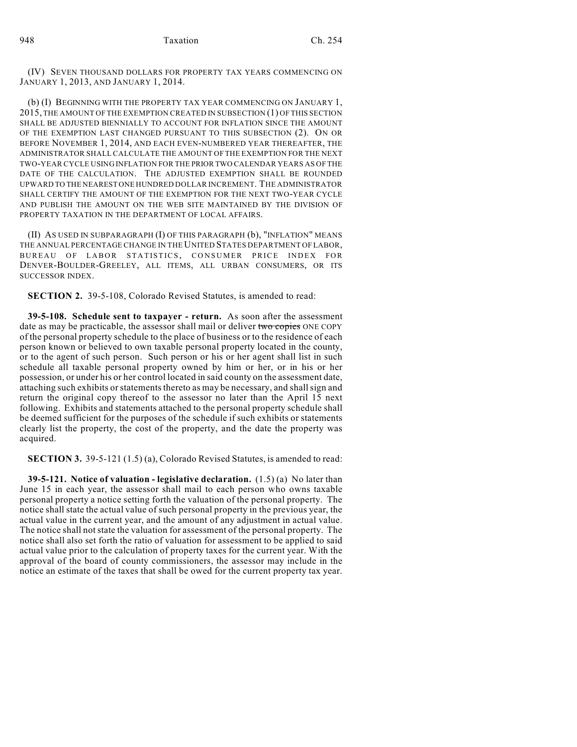(IV) SEVEN THOUSAND DOLLARS FOR PROPERTY TAX YEARS COMMENCING ON JANUARY 1, 2013, AND JANUARY 1, 2014.

(b) (I) BEGINNING WITH THE PROPERTY TAX YEAR COMMENCING ON JANUARY 1, 2015, THE AMOUNT OF THE EXEMPTION CREATED IN SUBSECTION (1) OF THIS SECTION SHALL BE ADJUSTED BIENNIALLY TO ACCOUNT FOR INFLATION SINCE THE AMOUNT OF THE EXEMPTION LAST CHANGED PURSUANT TO THIS SUBSECTION (2). ON OR BEFORE NOVEMBER 1, 2014, AND EACH EVEN-NUMBERED YEAR THEREAFTER, THE ADMINISTRATOR SHALL CALCULATE THE AMOUNT OFTHE EXEMPTION FOR THE NEXT TWO-YEAR CYCLE USING INFLATION FOR THE PRIOR TWO CALENDAR YEARS AS OF THE DATE OF THE CALCULATION. THE ADJUSTED EXEMPTION SHALL BE ROUNDED UPWARD TO THE NEAREST ONE HUNDRED DOLLAR INCREMENT. THE ADMINISTRATOR SHALL CERTIFY THE AMOUNT OF THE EXEMPTION FOR THE NEXT TWO-YEAR CYCLE AND PUBLISH THE AMOUNT ON THE WEB SITE MAINTAINED BY THE DIVISION OF PROPERTY TAXATION IN THE DEPARTMENT OF LOCAL AFFAIRS.

(II) AS USED IN SUBPARAGRAPH (I) OF THIS PARAGRAPH (b), "INFLATION" MEANS THE ANNUAL PERCENTAGE CHANGE IN THE UNITED STATES DEPARTMENT OF LABOR, BUREAU OF LABOR STATISTICS, CONSUMER PRICE INDEX FOR DENVER-BOULDER-GREELEY, ALL ITEMS, ALL URBAN CONSUMERS, OR ITS SUCCESSOR INDEX.

**SECTION 2.** 39-5-108, Colorado Revised Statutes, is amended to read:

**39-5-108. Schedule sent to taxpayer - return.** As soon after the assessment date as may be practicable, the assessor shall mail or deliver two copies ONE COPY of the personal property schedule to the place of business or to the residence of each person known or believed to own taxable personal property located in the county, or to the agent of such person. Such person or his or her agent shall list in such schedule all taxable personal property owned by him or her, or in his or her possession, or under his or her control located in said county on the assessment date, attaching such exhibits or statements thereto as may be necessary, and shall sign and return the original copy thereof to the assessor no later than the April 15 next following. Exhibits and statements attached to the personal property schedule shall be deemed sufficient for the purposes of the schedule if such exhibits or statements clearly list the property, the cost of the property, and the date the property was acquired.

**SECTION 3.** 39-5-121 (1.5) (a), Colorado Revised Statutes, is amended to read:

**39-5-121. Notice of valuation - legislative declaration.** (1.5) (a) No later than June 15 in each year, the assessor shall mail to each person who owns taxable personal property a notice setting forth the valuation of the personal property. The notice shall state the actual value of such personal property in the previous year, the actual value in the current year, and the amount of any adjustment in actual value. The notice shall not state the valuation for assessment of the personal property. The notice shall also set forth the ratio of valuation for assessment to be applied to said actual value prior to the calculation of property taxes for the current year. With the approval of the board of county commissioners, the assessor may include in the notice an estimate of the taxes that shall be owed for the current property tax year.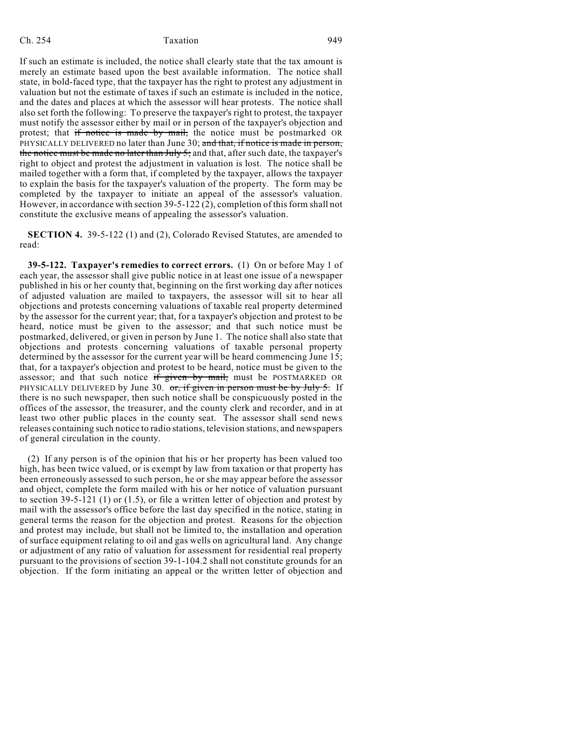## Ch. 254 Taxation 949

If such an estimate is included, the notice shall clearly state that the tax amount is merely an estimate based upon the best available information. The notice shall state, in bold-faced type, that the taxpayer has the right to protest any adjustment in valuation but not the estimate of taxes if such an estimate is included in the notice, and the dates and places at which the assessor will hear protests. The notice shall also set forth the following: To preserve the taxpayer's right to protest, the taxpayer must notify the assessor either by mail or in person of the taxpayer's objection and protest; that if notice is made by mail, the notice must be postmarked OR PHYSICALLY DELIVERED no later than June 30; and that, if notice is made in person, the notice must be made no later than July 5; and that, after such date, the taxpayer's right to object and protest the adjustment in valuation is lost. The notice shall be mailed together with a form that, if completed by the taxpayer, allows the taxpayer to explain the basis for the taxpayer's valuation of the property. The form may be completed by the taxpayer to initiate an appeal of the assessor's valuation. However, in accordance with section 39-5-122 (2), completion of this form shall not constitute the exclusive means of appealing the assessor's valuation.

**SECTION 4.** 39-5-122 (1) and (2), Colorado Revised Statutes, are amended to read:

**39-5-122. Taxpayer's remedies to correct errors.** (1) On or before May 1 of each year, the assessor shall give public notice in at least one issue of a newspaper published in his or her county that, beginning on the first working day after notices of adjusted valuation are mailed to taxpayers, the assessor will sit to hear all objections and protests concerning valuations of taxable real property determined by the assessor for the current year; that, for a taxpayer's objection and protest to be heard, notice must be given to the assessor; and that such notice must be postmarked, delivered, or given in person by June 1. The notice shall also state that objections and protests concerning valuations of taxable personal property determined by the assessor for the current year will be heard commencing June 15; that, for a taxpayer's objection and protest to be heard, notice must be given to the assessor; and that such notice if given by mail, must be POSTMARKED OR PHYSICALLY DELIVERED by June 30. or, if given in person must be by July 5. If there is no such newspaper, then such notice shall be conspicuously posted in the offices of the assessor, the treasurer, and the county clerk and recorder, and in at least two other public places in the county seat. The assessor shall send news releases containing such notice to radio stations, television stations, and newspapers of general circulation in the county.

(2) If any person is of the opinion that his or her property has been valued too high, has been twice valued, or is exempt by law from taxation or that property has been erroneously assessed to such person, he or she may appear before the assessor and object, complete the form mailed with his or her notice of valuation pursuant to section 39-5-121 (1) or (1.5), or file a written letter of objection and protest by mail with the assessor's office before the last day specified in the notice, stating in general terms the reason for the objection and protest. Reasons for the objection and protest may include, but shall not be limited to, the installation and operation of surface equipment relating to oil and gas wells on agricultural land. Any change or adjustment of any ratio of valuation for assessment for residential real property pursuant to the provisions of section 39-1-104.2 shall not constitute grounds for an objection. If the form initiating an appeal or the written letter of objection and